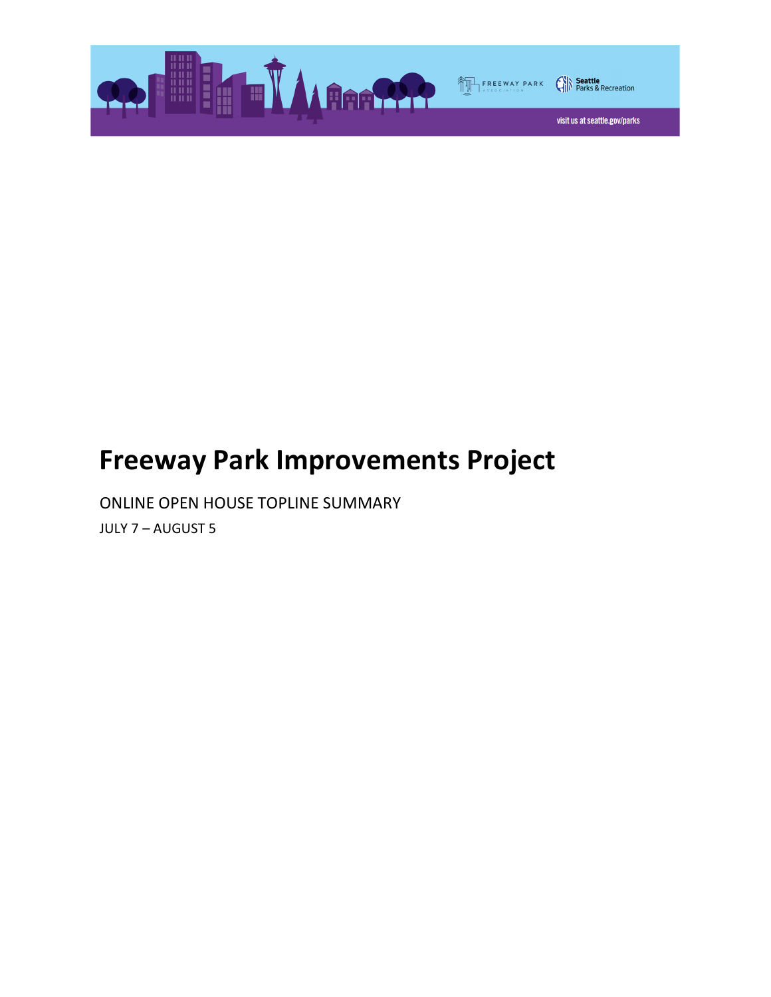

# Freeway Park Improvements Project

ONLINE OPEN HOUSE TOPLINE SUMMARY JULY 7 – AUGUST 5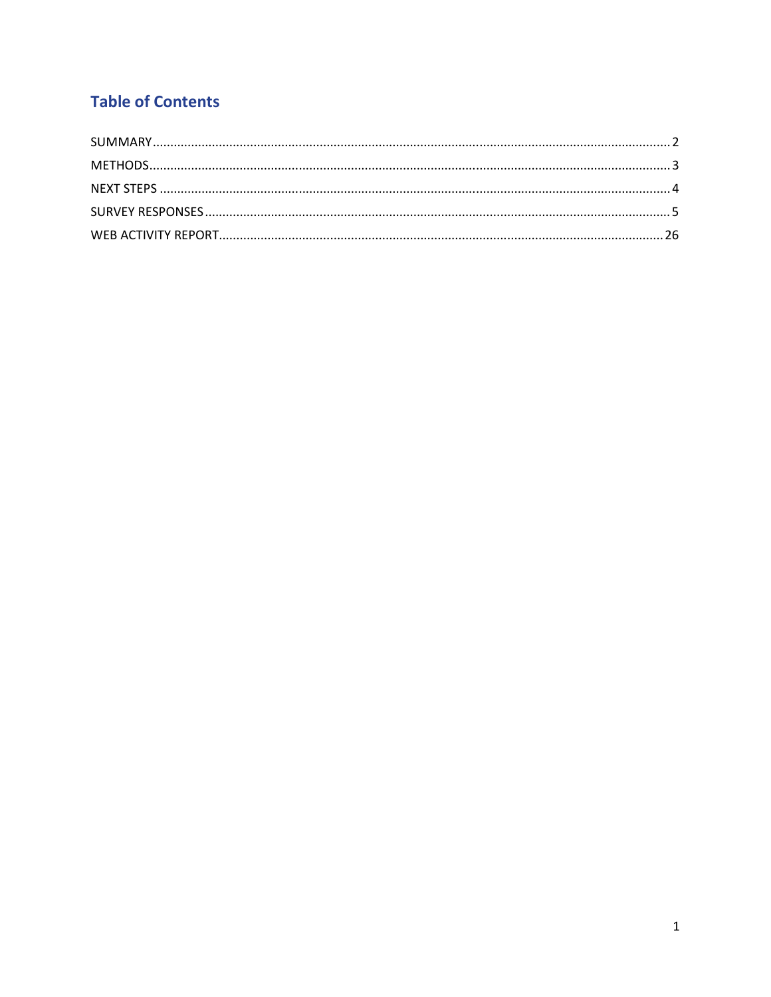## **Table of Contents**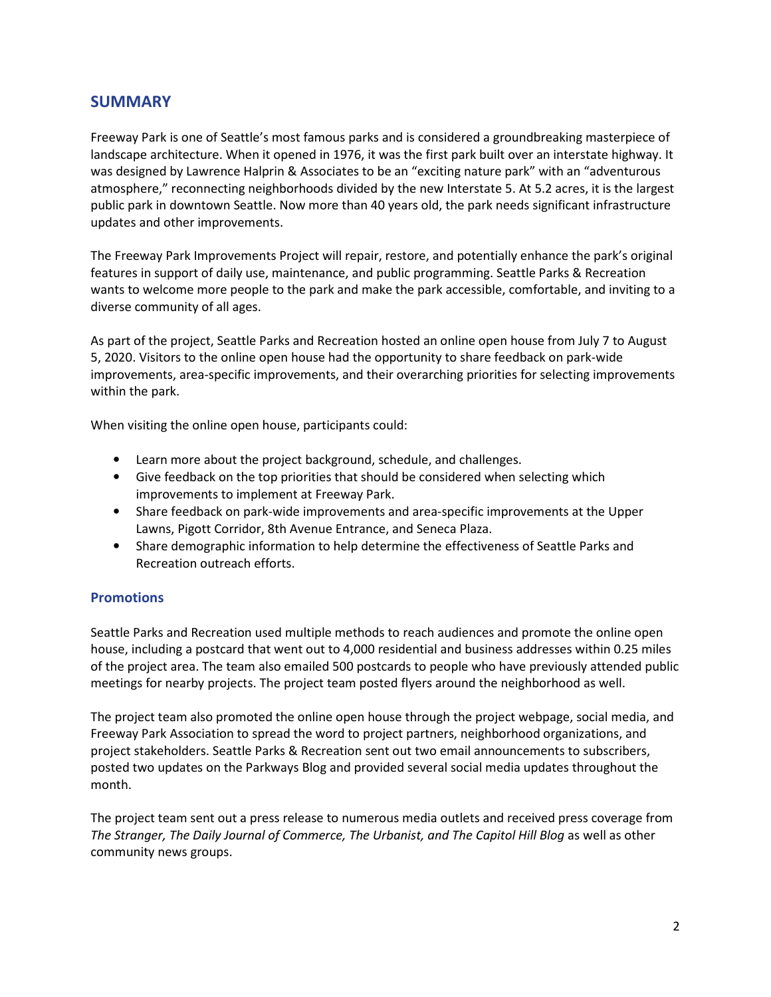## **SUMMARY**

Freeway Park is one of Seattle's most famous parks and is considered a groundbreaking masterpiece of landscape architecture. When it opened in 1976, it was the first park built over an interstate highway. It was designed by Lawrence Halprin & Associates to be an "exciting nature park" with an "adventurous atmosphere," reconnecting neighborhoods divided by the new Interstate 5. At 5.2 acres, it is the largest public park in downtown Seattle. Now more than 40 years old, the park needs significant infrastructure updates and other improvements.

The Freeway Park Improvements Project will repair, restore, and potentially enhance the park's original features in support of daily use, maintenance, and public programming. Seattle Parks & Recreation wants to welcome more people to the park and make the park accessible, comfortable, and inviting to a diverse community of all ages.

As part of the project, Seattle Parks and Recreation hosted an online open house from July 7 to August 5, 2020. Visitors to the online open house had the opportunity to share feedback on park-wide improvements, area-specific improvements, and their overarching priorities for selecting improvements within the park.

When visiting the online open house, participants could:

- Learn more about the project background, schedule, and challenges.
- Give feedback on the top priorities that should be considered when selecting which improvements to implement at Freeway Park.
- Share feedback on park-wide improvements and area-specific improvements at the Upper Lawns, Pigott Corridor, 8th Avenue Entrance, and Seneca Plaza.
- Share demographic information to help determine the effectiveness of Seattle Parks and Recreation outreach efforts.

#### **Promotions**

Seattle Parks and Recreation used multiple methods to reach audiences and promote the online open house, including a postcard that went out to 4,000 residential and business addresses within 0.25 miles of the project area. The team also emailed 500 postcards to people who have previously attended public meetings for nearby projects. The project team posted flyers around the neighborhood as well.

The project team also promoted the online open house through the project webpage, social media, and Freeway Park Association to spread the word to project partners, neighborhood organizations, and project stakeholders. Seattle Parks & Recreation sent out two email announcements to subscribers, posted two updates on the Parkways Blog and provided several social media updates throughout the month.

The project team sent out a press release to numerous media outlets and received press coverage from The Stranger, The Daily Journal of Commerce, The Urbanist, and The Capitol Hill Blog as well as other community news groups.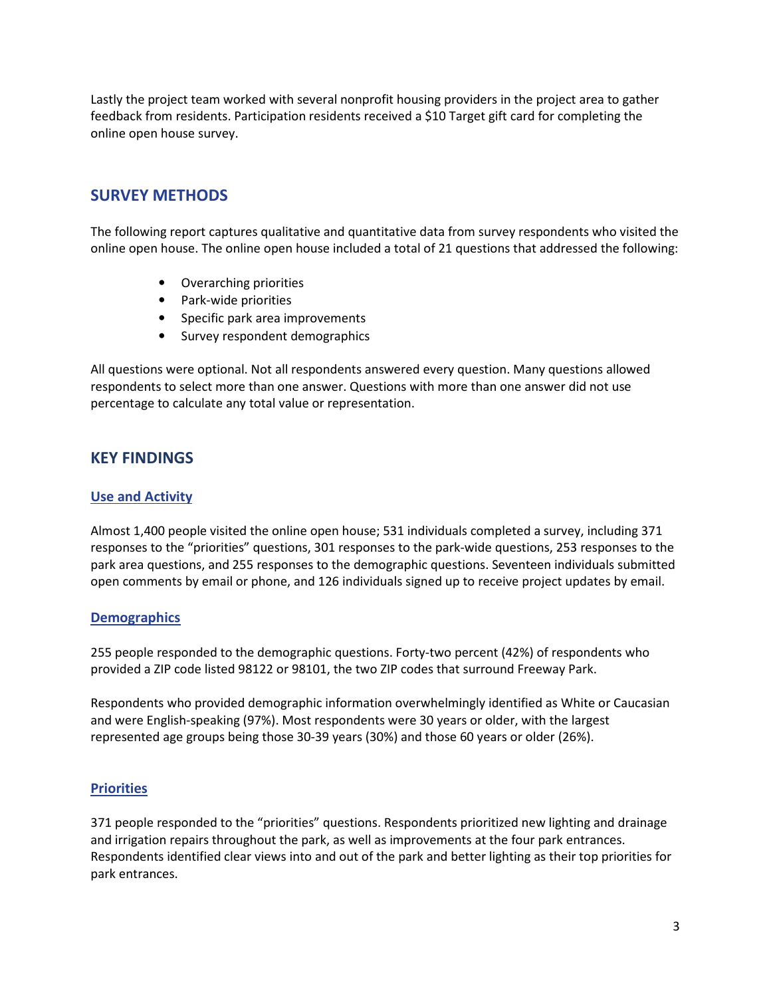Lastly the project team worked with several nonprofit housing providers in the project area to gather feedback from residents. Participation residents received a \$10 Target gift card for completing the online open house survey.

## SURVEY METHODS

The following report captures qualitative and quantitative data from survey respondents who visited the online open house. The online open house included a total of 21 questions that addressed the following:

- Overarching priorities
- Park-wide priorities
- Specific park area improvements
- Survey respondent demographics

All questions were optional. Not all respondents answered every question. Many questions allowed respondents to select more than one answer. Questions with more than one answer did not use percentage to calculate any total value or representation.

## KEY FINDINGS

#### Use and Activity

Almost 1,400 people visited the online open house; 531 individuals completed a survey, including 371 responses to the "priorities" questions, 301 responses to the park-wide questions, 253 responses to the park area questions, and 255 responses to the demographic questions. Seventeen individuals submitted open comments by email or phone, and 126 individuals signed up to receive project updates by email.

#### **Demographics**

255 people responded to the demographic questions. Forty-two percent (42%) of respondents who provided a ZIP code listed 98122 or 98101, the two ZIP codes that surround Freeway Park.

Respondents who provided demographic information overwhelmingly identified as White or Caucasian and were English-speaking (97%). Most respondents were 30 years or older, with the largest represented age groups being those 30-39 years (30%) and those 60 years or older (26%).

#### **Priorities**

371 people responded to the "priorities" questions. Respondents prioritized new lighting and drainage and irrigation repairs throughout the park, as well as improvements at the four park entrances. Respondents identified clear views into and out of the park and better lighting as their top priorities for park entrances.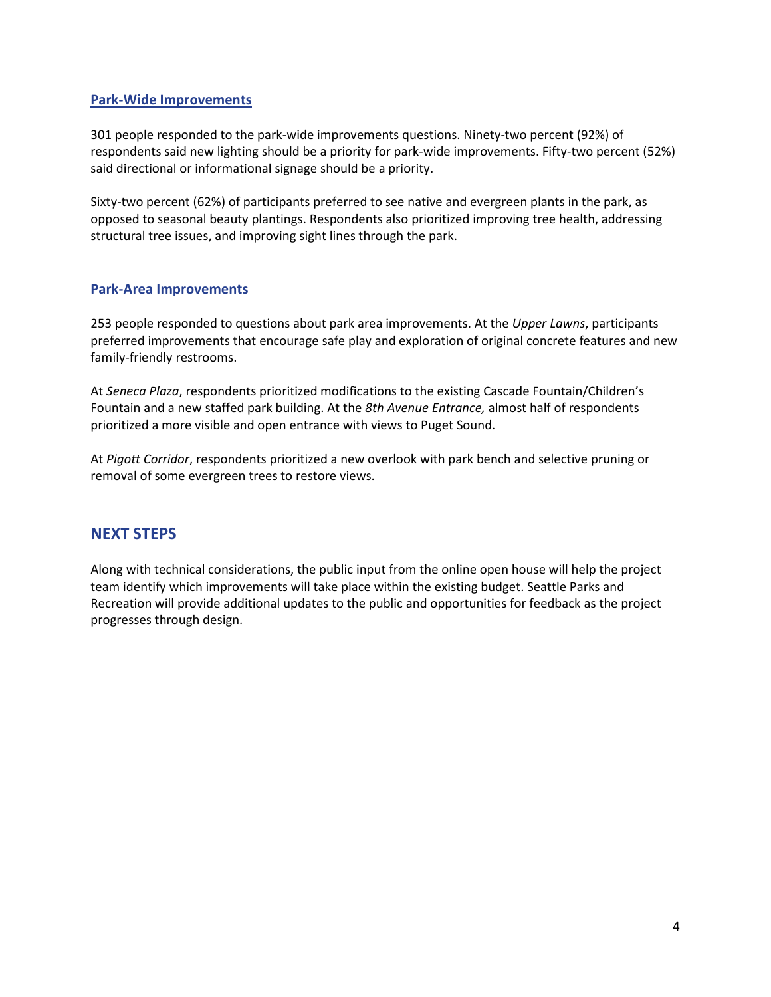#### Park-Wide Improvements

301 people responded to the park-wide improvements questions. Ninety-two percent (92%) of respondents said new lighting should be a priority for park-wide improvements. Fifty-two percent (52%) said directional or informational signage should be a priority.

Sixty-two percent (62%) of participants preferred to see native and evergreen plants in the park, as opposed to seasonal beauty plantings. Respondents also prioritized improving tree health, addressing structural tree issues, and improving sight lines through the park.

#### Park-Area Improvements

253 people responded to questions about park area improvements. At the Upper Lawns, participants preferred improvements that encourage safe play and exploration of original concrete features and new family-friendly restrooms.

At Seneca Plaza, respondents prioritized modifications to the existing Cascade Fountain/Children's Fountain and a new staffed park building. At the 8th Avenue Entrance, almost half of respondents prioritized a more visible and open entrance with views to Puget Sound.

At Pigott Corridor, respondents prioritized a new overlook with park bench and selective pruning or removal of some evergreen trees to restore views.

## NEXT STEPS

Along with technical considerations, the public input from the online open house will help the project team identify which improvements will take place within the existing budget. Seattle Parks and Recreation will provide additional updates to the public and opportunities for feedback as the project progresses through design.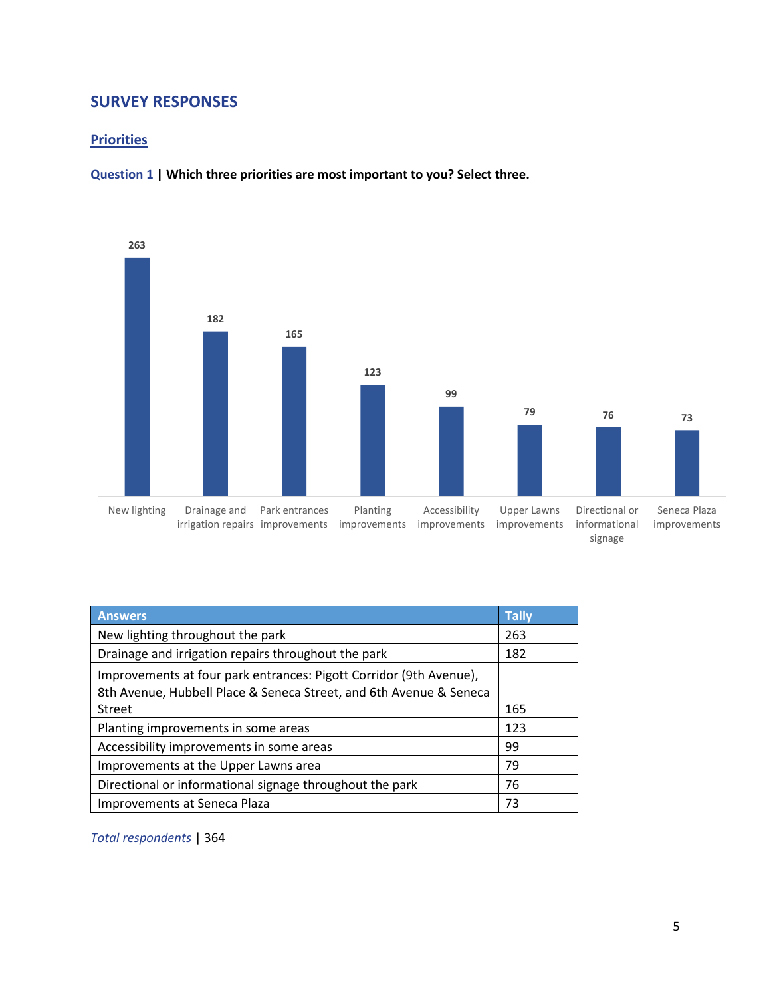## SURVEY RESPONSES

#### **Priorities**





| <b>Answers</b>                                                                                                                                     | <b>Tally</b> |
|----------------------------------------------------------------------------------------------------------------------------------------------------|--------------|
| New lighting throughout the park                                                                                                                   | 263          |
| Drainage and irrigation repairs throughout the park                                                                                                | 182          |
| Improvements at four park entrances: Pigott Corridor (9th Avenue),<br>8th Avenue, Hubbell Place & Seneca Street, and 6th Avenue & Seneca<br>Street | 165          |
|                                                                                                                                                    |              |
| Planting improvements in some areas                                                                                                                | 123          |
| Accessibility improvements in some areas                                                                                                           | 99           |
| Improvements at the Upper Lawns area                                                                                                               | 79           |
| Directional or informational signage throughout the park                                                                                           | 76           |
| Improvements at Seneca Plaza                                                                                                                       | 73           |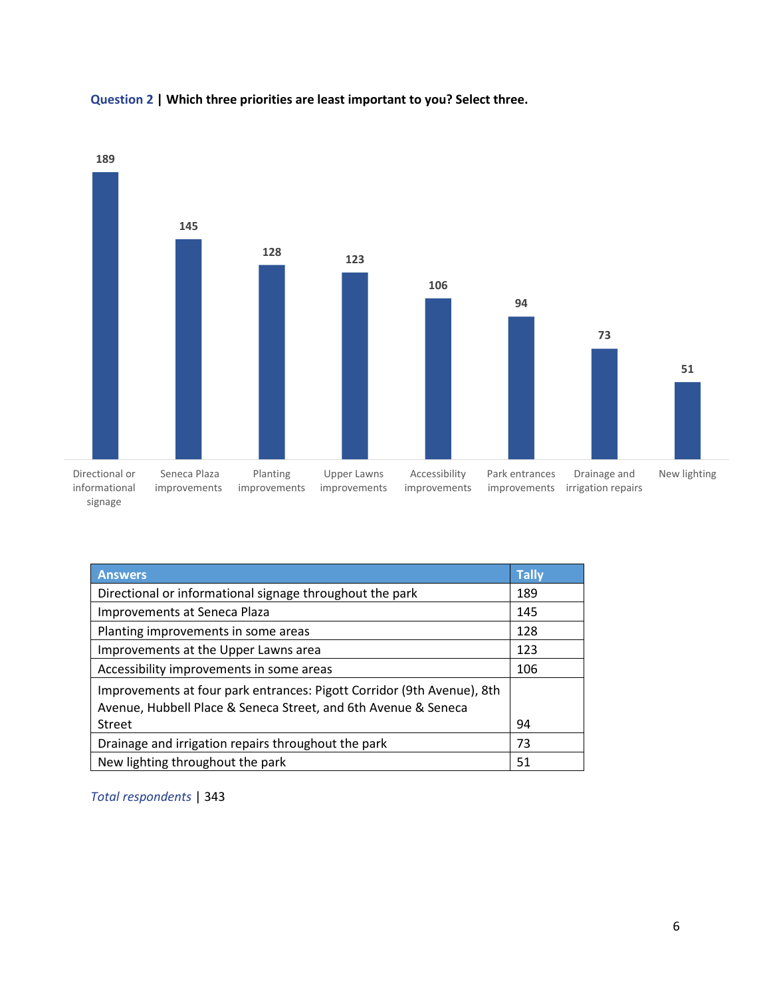

#### Question 2 | Which three priorities are least important to you? Select three.

| <b>Answers</b>                                                         | <b>Tally</b> |
|------------------------------------------------------------------------|--------------|
| Directional or informational signage throughout the park               | 189          |
| Improvements at Seneca Plaza                                           | 145          |
| Planting improvements in some areas                                    | 128          |
| Improvements at the Upper Lawns area                                   | 123          |
| Accessibility improvements in some areas                               | 106          |
| Improvements at four park entrances: Pigott Corridor (9th Avenue), 8th |              |
| Avenue, Hubbell Place & Seneca Street, and 6th Avenue & Seneca         |              |
| <b>Street</b>                                                          | 94           |
| Drainage and irrigation repairs throughout the park                    | 73           |
| New lighting throughout the park                                       | 51           |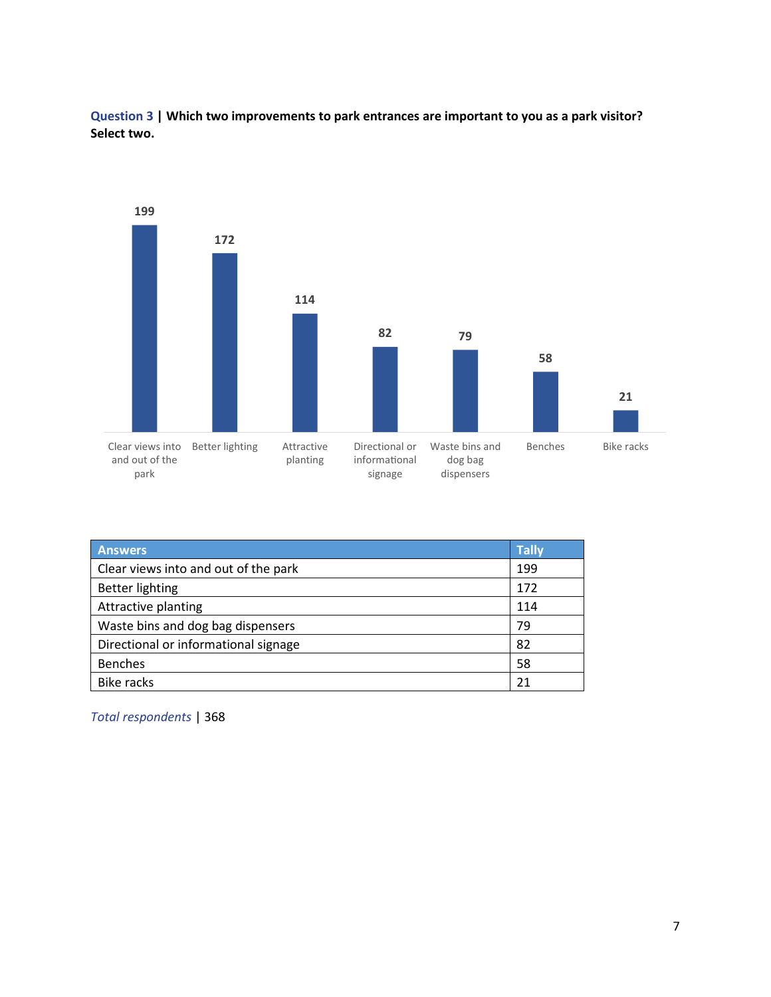Question 3 | Which two improvements to park entrances are important to you as a park visitor? Select two.



| <b>Answers</b>                       | <b>Tally</b> |
|--------------------------------------|--------------|
| Clear views into and out of the park | 199          |
| <b>Better lighting</b>               | 172          |
| Attractive planting                  | 114          |
| Waste bins and dog bag dispensers    | 79           |
| Directional or informational signage | 82           |
| <b>Benches</b>                       | 58           |
| Bike racks                           | 21           |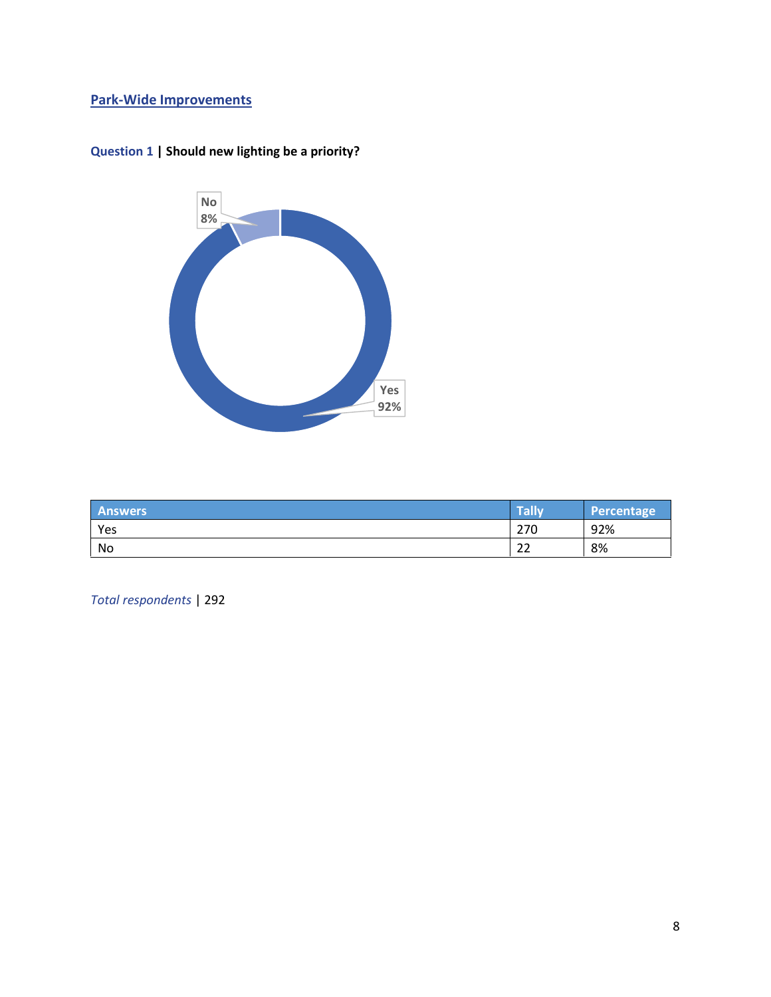## Park-Wide Improvements



## Question 1 | Should new lighting be a priority?

| <b>Answers</b> | Tally                  | Percentage |
|----------------|------------------------|------------|
| Yes            | 270                    | 92%        |
| No             | $\mathbin{\lnot}$<br>ے | 8%         |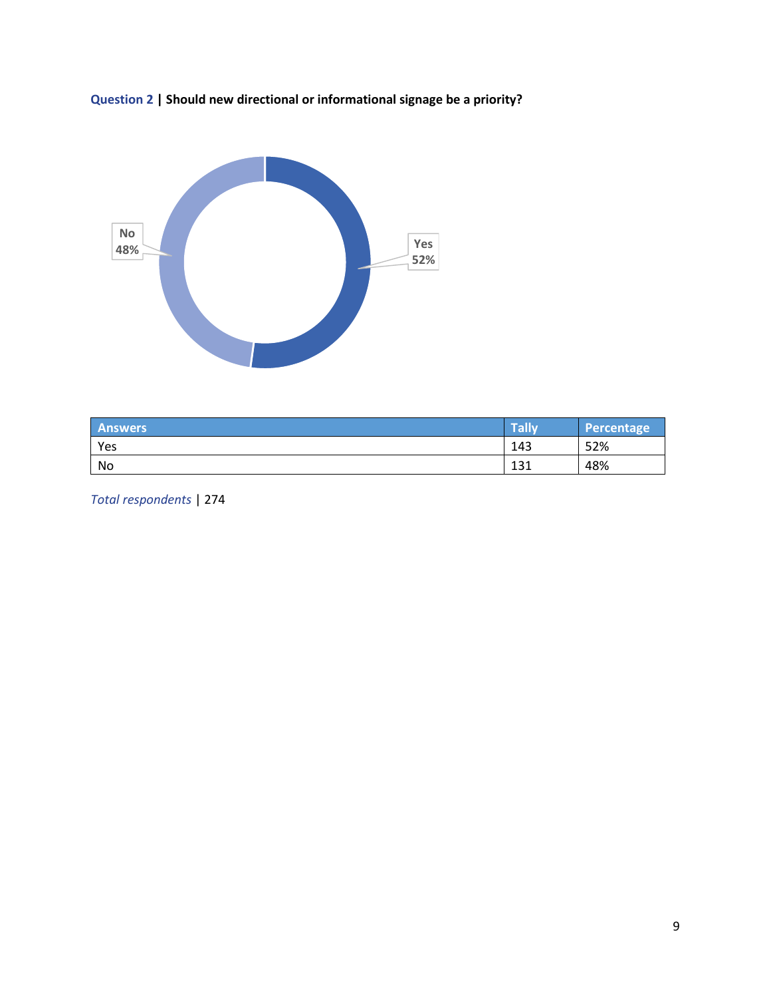



| <b>Answers</b> | Tally      | Percentage |
|----------------|------------|------------|
| Yes            | 143        | 52%        |
| No             | 121<br>ᆂᆦᆂ | 48%        |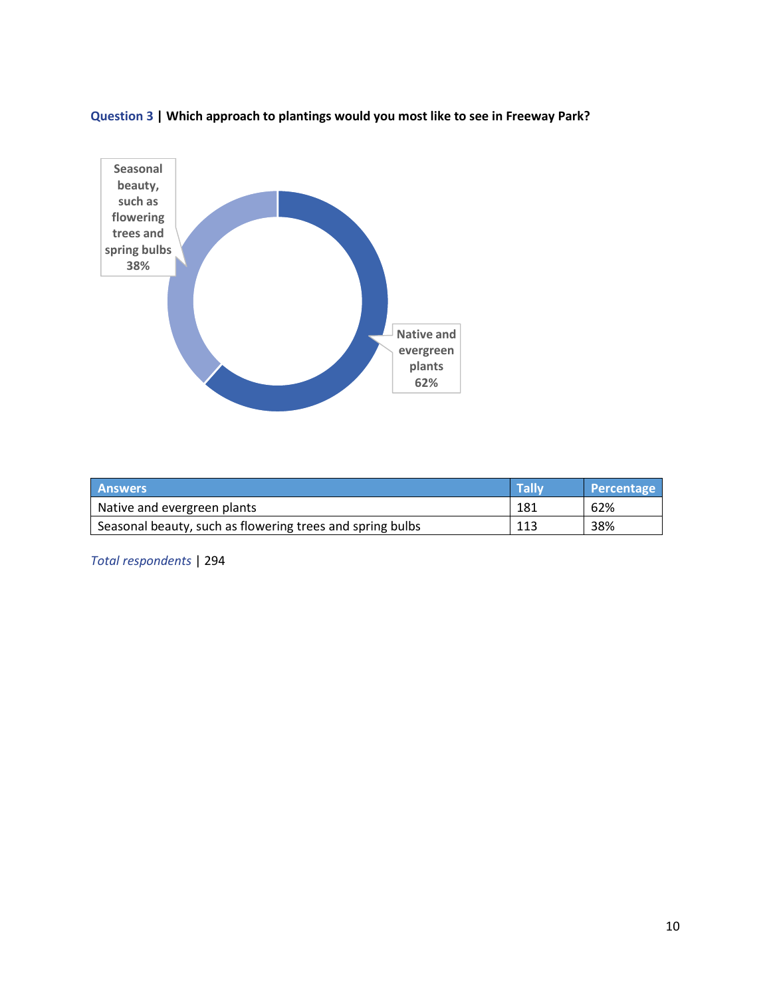Question 3 | Which approach to plantings would you most like to see in Freeway Park?



| <b>Answers</b>                                            | <b>Tally</b> | Percentage |
|-----------------------------------------------------------|--------------|------------|
| Native and evergreen plants                               | 181          | 62%        |
| Seasonal beauty, such as flowering trees and spring bulbs | 113          | 38%        |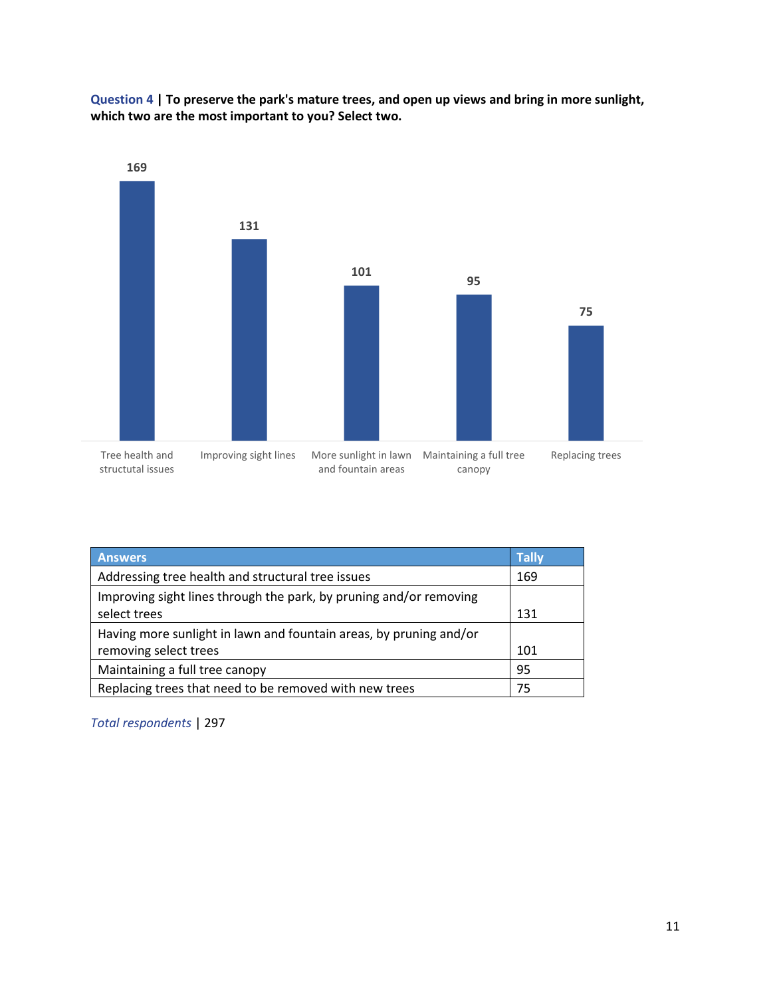Question 4 | To preserve the park's mature trees, and open up views and bring in more sunlight, which two are the most important to you? Select two.



| <b>Answers</b>                                                                     | <b>Tally</b> |
|------------------------------------------------------------------------------------|--------------|
| Addressing tree health and structural tree issues                                  | 169          |
| Improving sight lines through the park, by pruning and/or removing<br>select trees | 131          |
| Having more sunlight in lawn and fountain areas, by pruning and/or                 |              |
| removing select trees                                                              | 101          |
| Maintaining a full tree canopy                                                     | 95           |
| Replacing trees that need to be removed with new trees                             | 75           |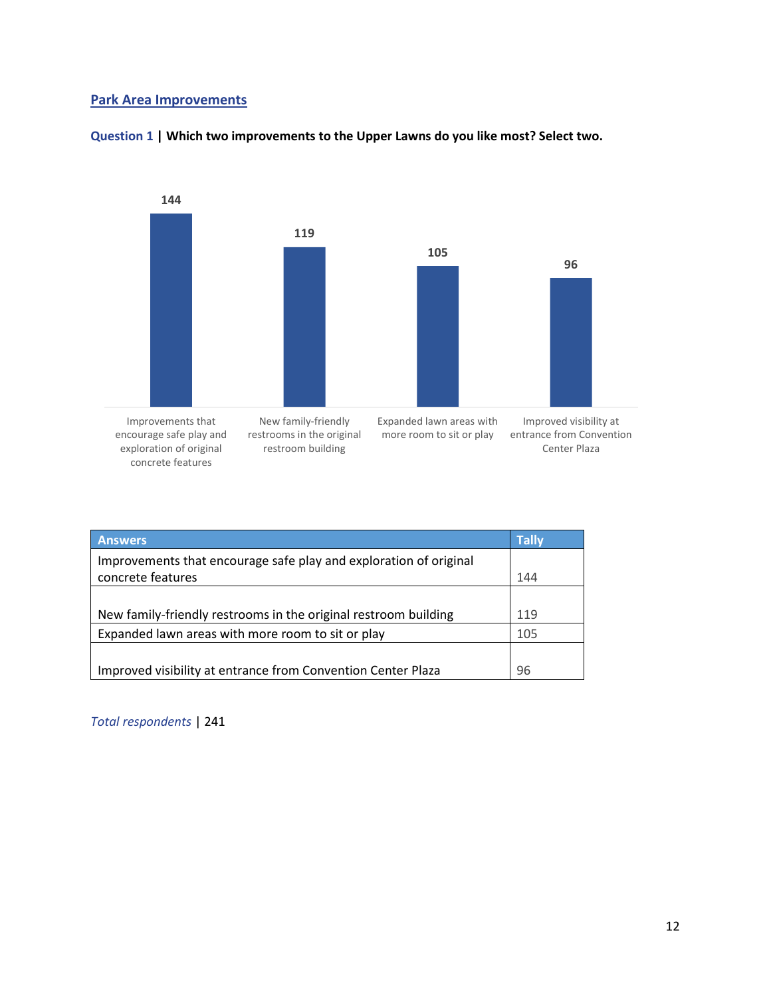#### Park Area Improvements



#### Question 1 | Which two improvements to the Upper Lawns do you like most? Select two.

| <b>Answers</b>                                                    | <b>Tally</b> |
|-------------------------------------------------------------------|--------------|
| Improvements that encourage safe play and exploration of original |              |
| concrete features                                                 | 144          |
|                                                                   |              |
| New family-friendly restrooms in the original restroom building   | 119          |
| Expanded lawn areas with more room to sit or play                 | 105          |
|                                                                   |              |
| Improved visibility at entrance from Convention Center Plaza      | 96           |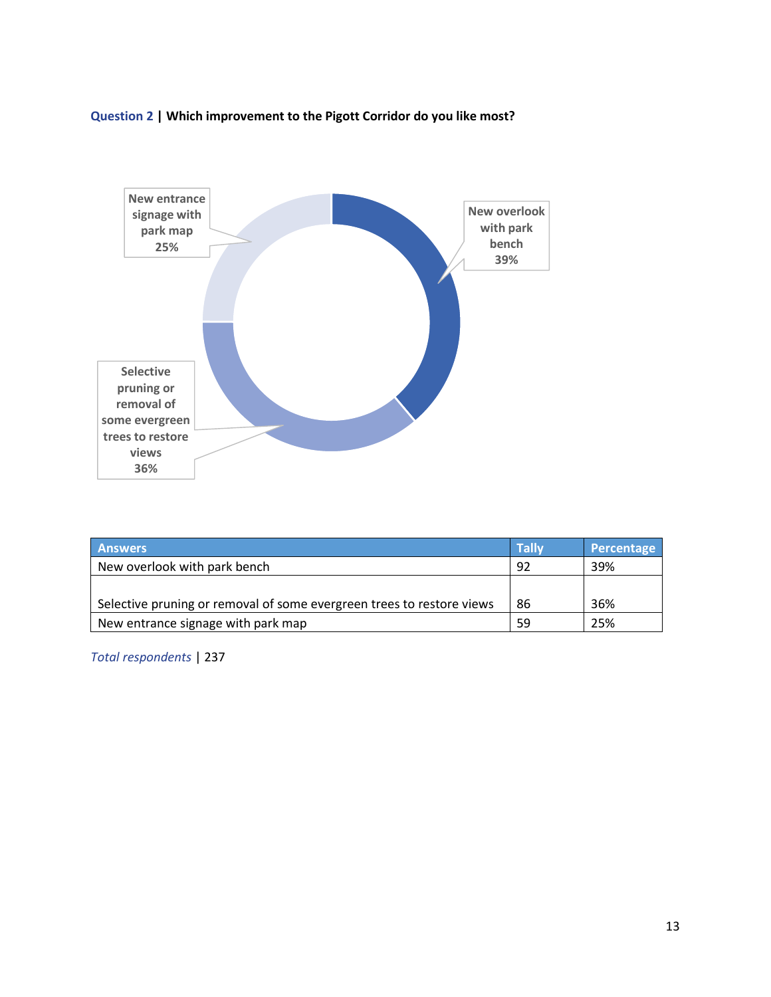## Question 2 | Which improvement to the Pigott Corridor do you like most?



| <b>Answers</b>                                                        | <b>Tally</b> | Percentage |
|-----------------------------------------------------------------------|--------------|------------|
| New overlook with park bench                                          | 92           | 39%        |
|                                                                       |              |            |
| Selective pruning or removal of some evergreen trees to restore views | 86           | 36%        |
| New entrance signage with park map                                    | 59           | 25%        |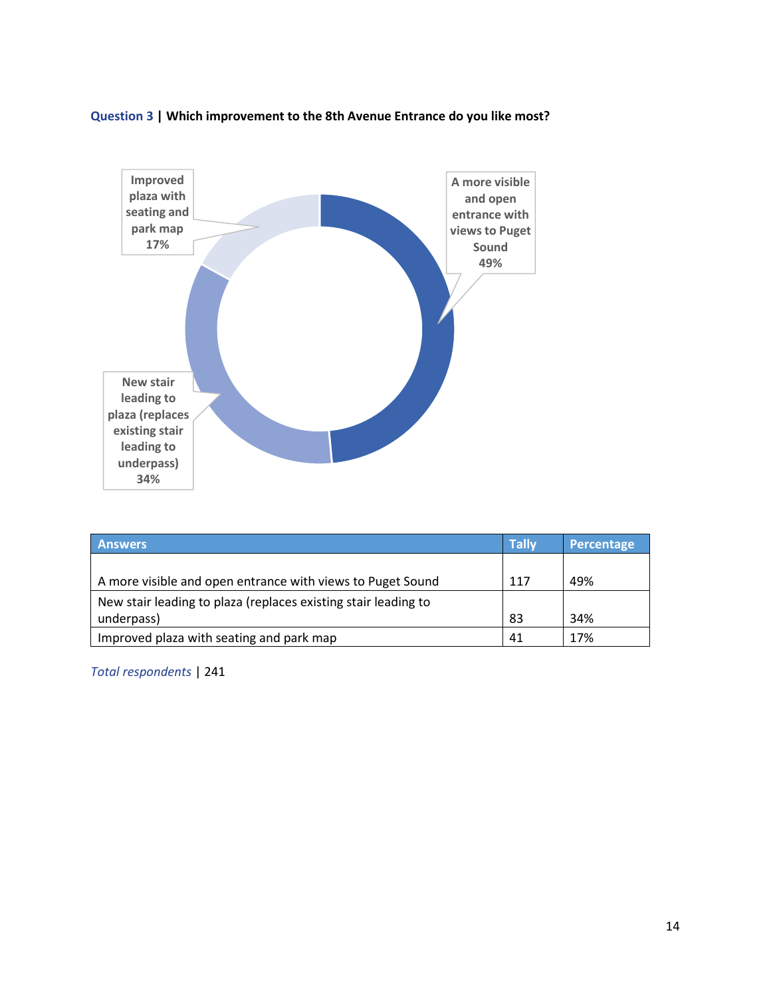



| <b>Answers</b>                                                 | <b>Tally</b> | Percentage |
|----------------------------------------------------------------|--------------|------------|
|                                                                |              |            |
| A more visible and open entrance with views to Puget Sound     | 117          | 49%        |
| New stair leading to plaza (replaces existing stair leading to |              |            |
| underpass)                                                     | 83           | 34%        |
| Improved plaza with seating and park map                       | 41           | 17%        |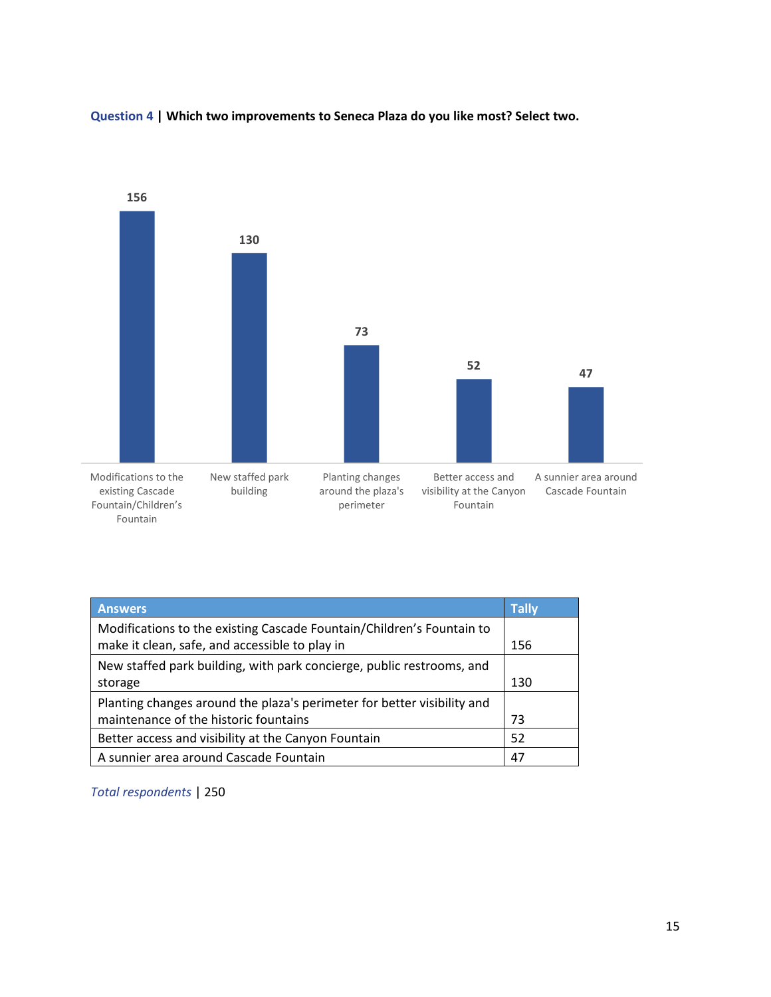

Question 4 | Which two improvements to Seneca Plaza do you like most? Select two.

| <b>Answers</b>                                                                                                          | <b>Tally</b> |
|-------------------------------------------------------------------------------------------------------------------------|--------------|
| Modifications to the existing Cascade Fountain/Children's Fountain to<br>make it clean, safe, and accessible to play in | 156          |
| New staffed park building, with park concierge, public restrooms, and<br>storage                                        | 130          |
| Planting changes around the plaza's perimeter for better visibility and<br>maintenance of the historic fountains        | 73           |
| Better access and visibility at the Canyon Fountain                                                                     | 52           |
| A sunnier area around Cascade Fountain                                                                                  | 47           |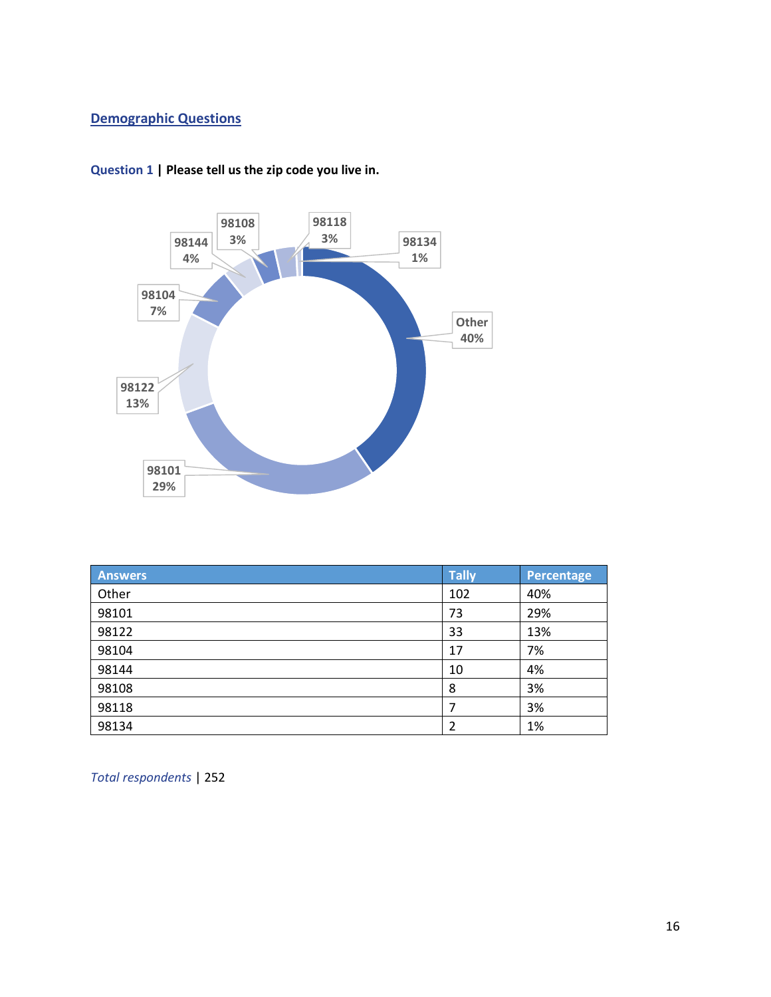## Demographic Questions



Question 1 | Please tell us the zip code you live in.

| <b>Answers</b> | <b>Tally</b> | <b>Percentage</b> |
|----------------|--------------|-------------------|
| Other          | 102          | 40%               |
| 98101          | 73           | 29%               |
| 98122          | 33           | 13%               |
| 98104          | 17           | 7%                |
| 98144          | 10           | 4%                |
| 98108          | 8            | 3%                |
| 98118          | 7            | 3%                |
| 98134          | 2            | 1%                |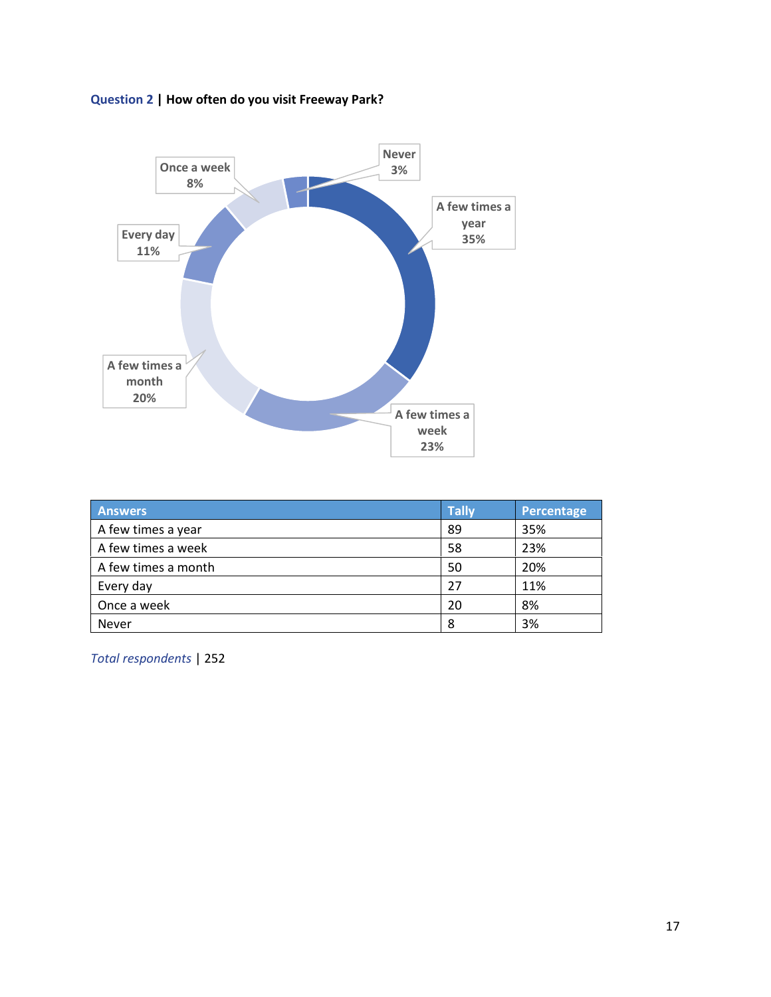



| <b>Answers</b>      | <b>Tally</b> | Percentage |
|---------------------|--------------|------------|
| A few times a year  | 89           | 35%        |
| A few times a week  | 58           | 23%        |
| A few times a month | 50           | 20%        |
| Every day           | 27           | 11%        |
| Once a week         | 20           | 8%         |
| <b>Never</b>        | 8            | 3%         |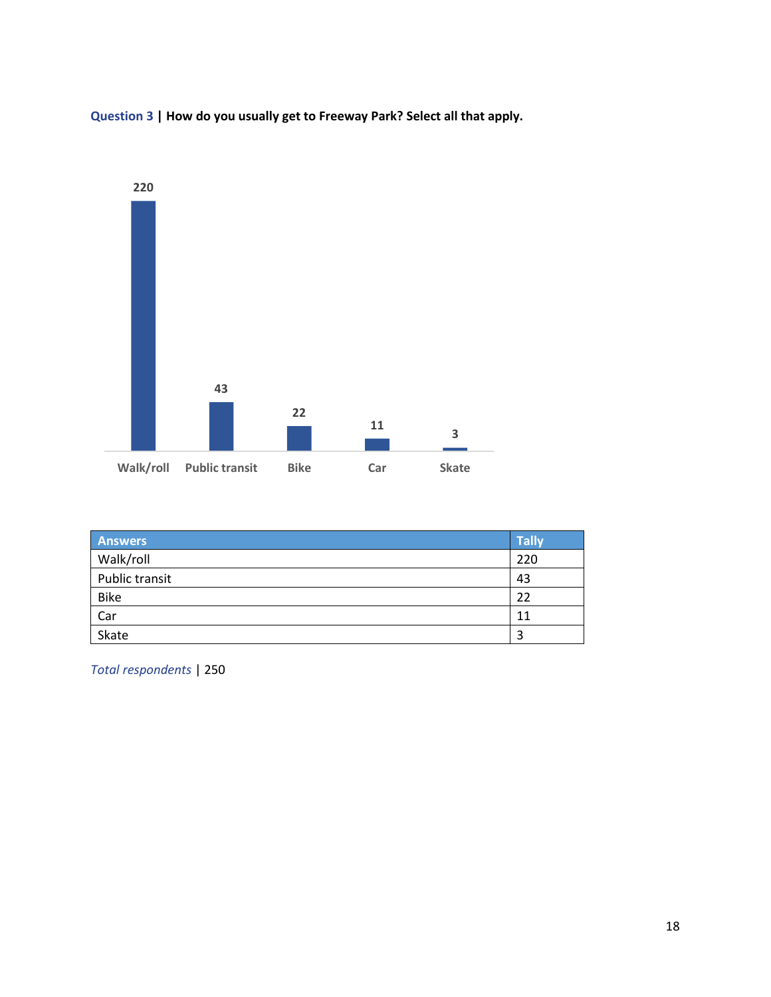



| <b>Answers</b> | <b>Tally</b> |
|----------------|--------------|
| Walk/roll      | 220          |
| Public transit | 43           |
| <b>Bike</b>    | 22           |
| Car            | 11           |
| Skate          | 3            |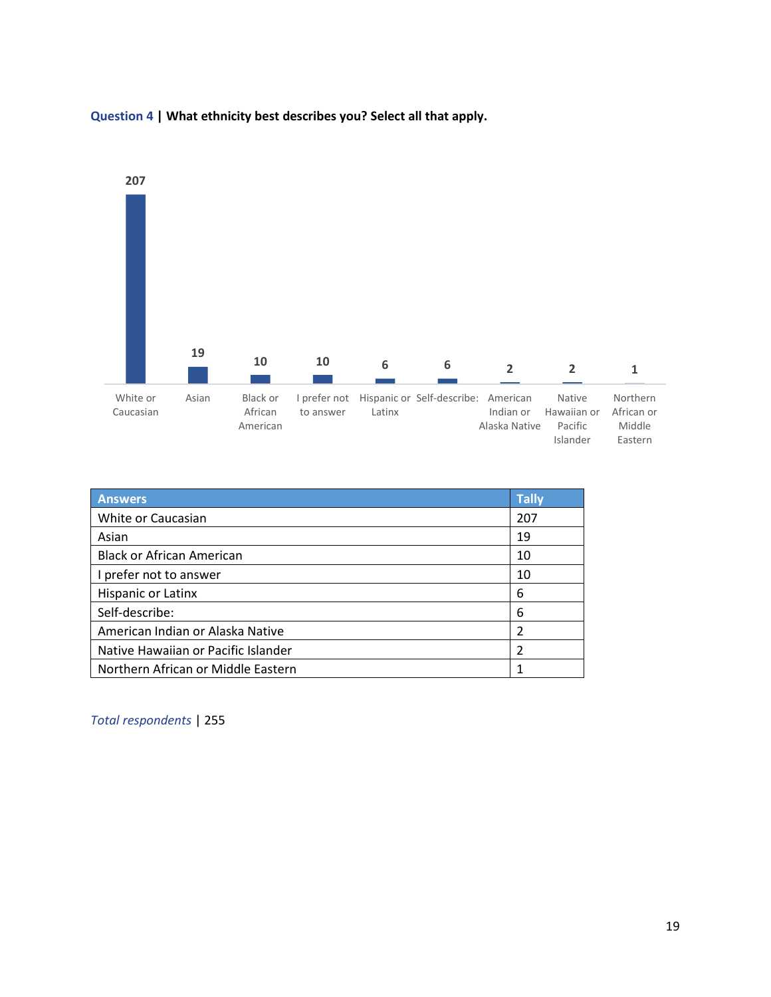

## Question 4 | What ethnicity best describes you? Select all that apply.

| <b>Answers</b>                      | <b>Tally</b> |
|-------------------------------------|--------------|
| White or Caucasian                  | 207          |
| Asian                               | 19           |
| <b>Black or African American</b>    | 10           |
| I prefer not to answer              | 10           |
| Hispanic or Latinx                  | 6            |
| Self-describe:                      | 6            |
| American Indian or Alaska Native    |              |
| Native Hawaiian or Pacific Islander |              |
| Northern African or Middle Eastern  |              |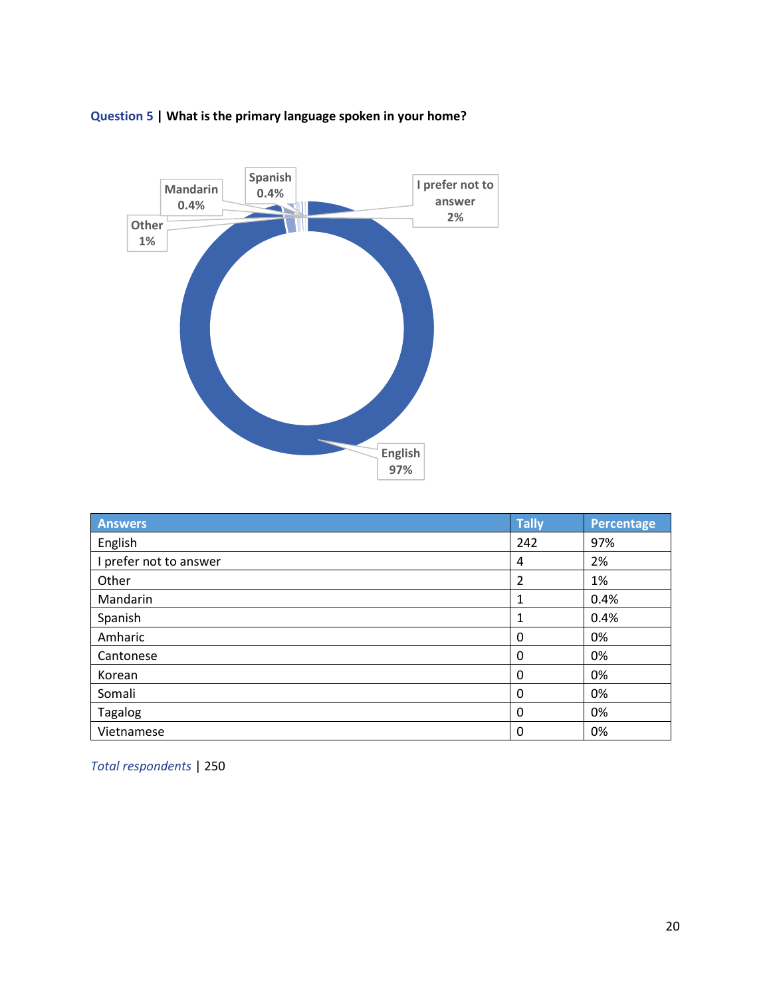



| <b>Answers</b>         | <b>Tally</b> | <b>Percentage</b> |
|------------------------|--------------|-------------------|
| English                | 242          | 97%               |
| I prefer not to answer | 4            | 2%                |
| Other                  | 2            | 1%                |
| Mandarin               | 1            | 0.4%              |
| Spanish                | 1            | 0.4%              |
| Amharic                | 0            | 0%                |
| Cantonese              | 0            | 0%                |
| Korean                 | 0            | 0%                |
| Somali                 | $\mathbf 0$  | 0%                |
| Tagalog                | 0            | 0%                |
| Vietnamese             | 0            | 0%                |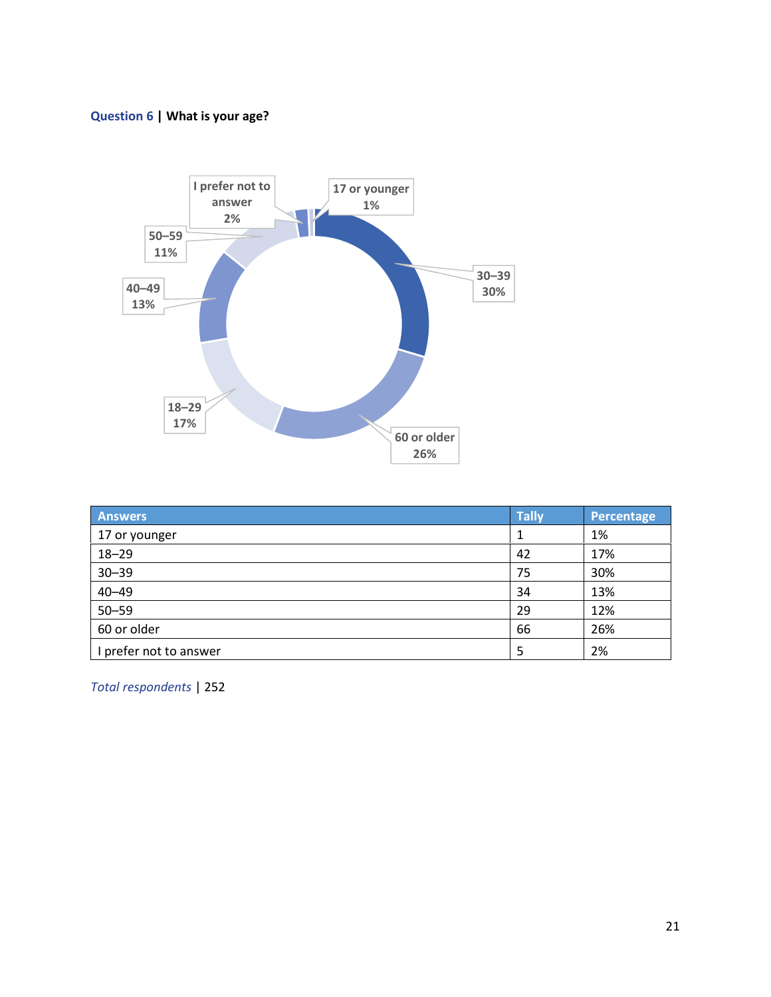## Question 6 | What is your age?



| <b>Answers</b>         | <b>Tally</b> | Percentage |
|------------------------|--------------|------------|
| 17 or younger          |              | 1%         |
| $18 - 29$              | 42           | 17%        |
| $30 - 39$              | 75           | 30%        |
| $40 - 49$              | 34           | 13%        |
| $50 - 59$              | 29           | 12%        |
| 60 or older            | 66           | 26%        |
| I prefer not to answer | 5            | 2%         |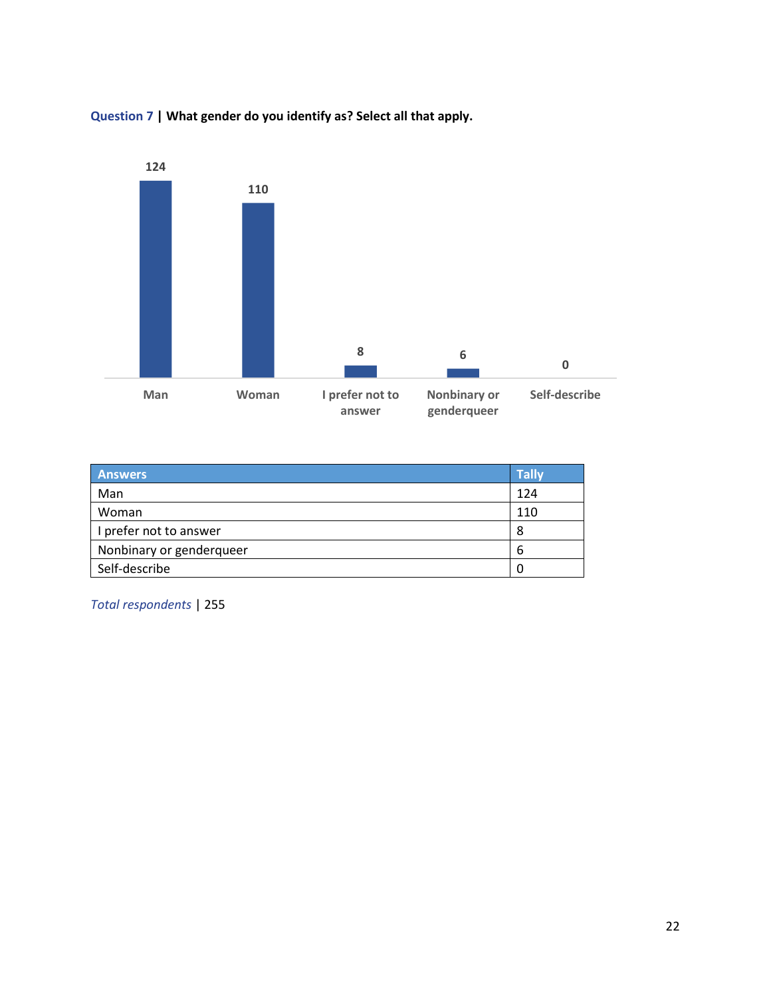

Question 7 | What gender do you identify as? Select all that apply.

| <b>Answers</b>           | <b>Tally</b> |
|--------------------------|--------------|
| Man                      | 124          |
| Woman                    | 110          |
| I prefer not to answer   | 8            |
| Nonbinary or genderqueer | b            |
| Self-describe            | U            |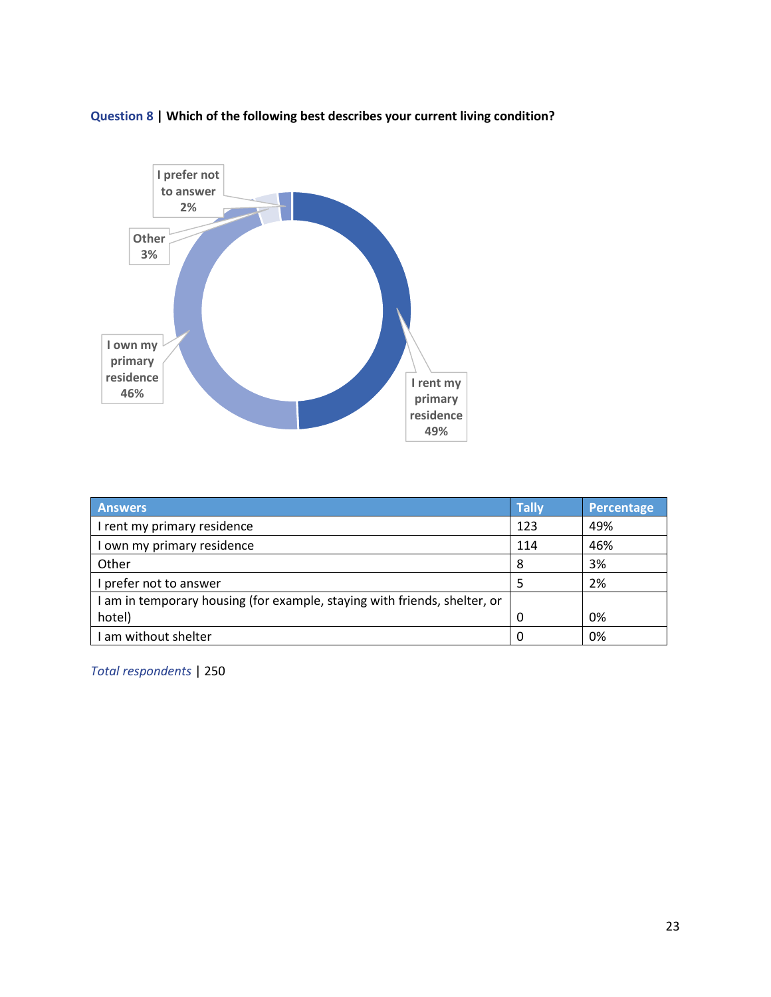

Question 8 | Which of the following best describes your current living condition?

| <b>Answers</b>                                                            | <b>Tally</b> | <b>Percentage</b> |
|---------------------------------------------------------------------------|--------------|-------------------|
| I rent my primary residence                                               | 123          | 49%               |
| I own my primary residence                                                | 114          | 46%               |
| Other                                                                     | 8            | 3%                |
| I prefer not to answer                                                    |              | 2%                |
| I am in temporary housing (for example, staying with friends, shelter, or |              |                   |
| hotel)                                                                    | 0            | 0%                |
| I am without shelter                                                      | $\Omega$     | 0%                |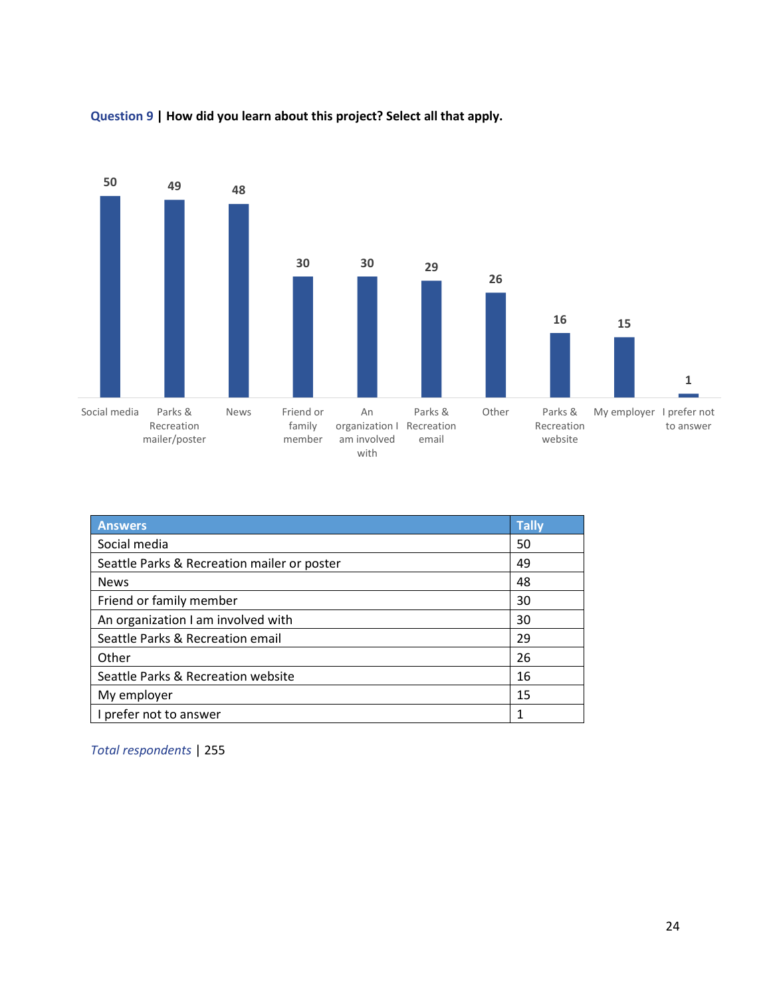

## Question 9 | How did you learn about this project? Select all that apply.

| <b>Answers</b>                              | <b>Tally</b> |
|---------------------------------------------|--------------|
| Social media                                | 50           |
| Seattle Parks & Recreation mailer or poster | 49           |
| <b>News</b>                                 | 48           |
| Friend or family member                     | 30           |
| An organization I am involved with          | 30           |
| Seattle Parks & Recreation email            | 29           |
| Other                                       | 26           |
| Seattle Parks & Recreation website          | 16           |
| My employer                                 | 15           |
| prefer not to answer                        |              |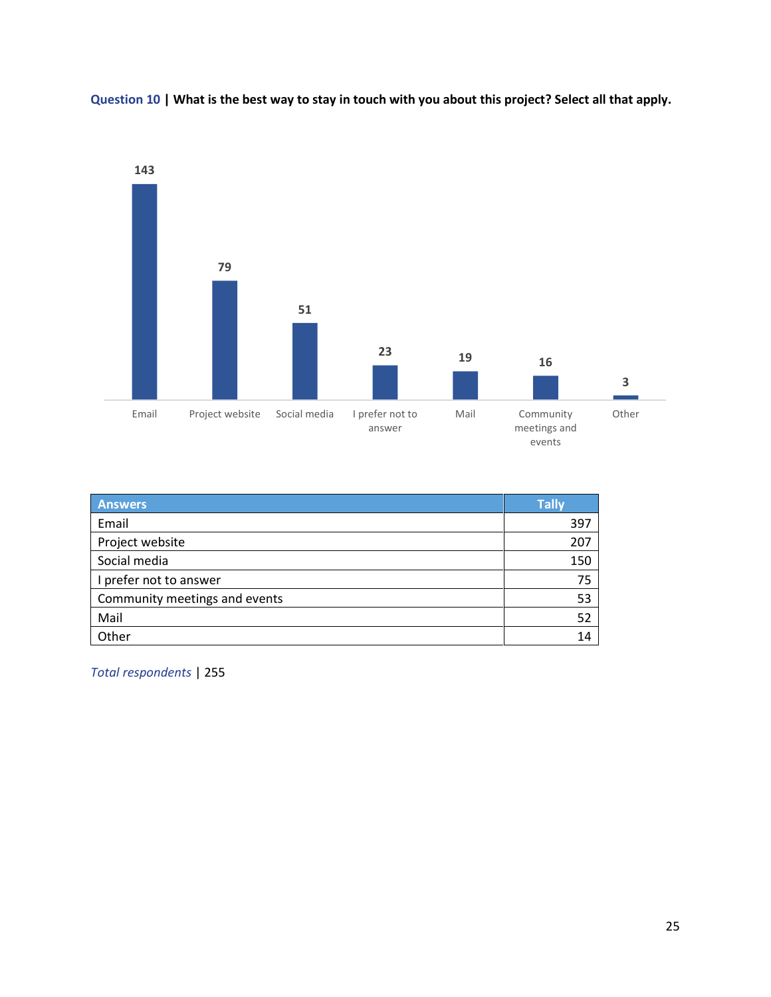

Question 10 | What is the best way to stay in touch with you about this project? Select all that apply.

| <b>Answers</b>                | <b>Tally</b> |
|-------------------------------|--------------|
| Email                         | 397          |
| Project website               | 207          |
| Social media                  | 150          |
| I prefer not to answer        | 75           |
| Community meetings and events | 53           |
| Mail                          | 52           |
| Other                         | 14           |